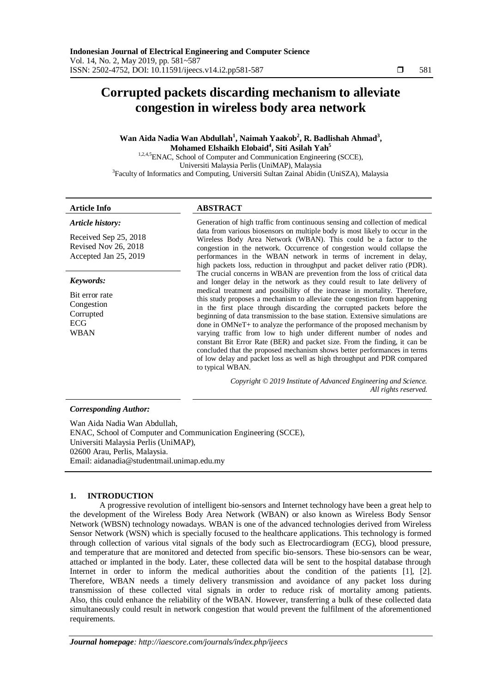# **Corrupted packets discarding mechanism to alleviate congestion in wireless body area network**

# **Wan Aida Nadia Wan Abdullah<sup>1</sup> , Naimah Yaakob<sup>2</sup> , R. Badlishah Ahmad<sup>3</sup> , Mohamed Elshaikh Elobaid<sup>4</sup> , Siti Asilah Yah<sup>5</sup>**

1,2,4,5 ENAC, School of Computer and Communication Engineering (SCCE), Universiti Malaysia Perlis (UniMAP), Malaysia <sup>3</sup>Faculty of Informatics and Computing, Universiti Sultan Zainal Abidin (UniSZA), Malaysia

# **Article Info ABSTRACT**

*Article history:*

Received Sep 25, 2018 Revised Nov 26, 2018 Accepted Jan 25, 2019

# *Keywords:*

Bit error rate Congestion Corrupted ECG WBAN

Generation of high traffic from continuous sensing and collection of medical data from various biosensors on multiple body is most likely to occur in the Wireless Body Area Network (WBAN). This could be a factor to the congestion in the network. Occurrence of congestion would collapse the performances in the WBAN network in terms of increment in delay, high packets loss, reduction in throughput and packet deliver ratio (PDR). The crucial concerns in WBAN are prevention from the loss of critical data and longer delay in the network as they could result to late delivery of medical treatment and possibility of the increase in mortality. Therefore, this study proposes a mechanism to alleviate the congestion from happening in the first place through discarding the corrupted packets before the beginning of data transmission to the base station. Extensive simulations are done in OMNeT+ to analyze the performance of the proposed mechanism by varying traffic from low to high under different number of nodes and constant Bit Error Rate (BER) and packet size. From the finding, it can be concluded that the proposed mechanism shows better performances in terms of low delay and packet loss as well as high throughput and PDR compared to typical WBAN.

> *Copyright © 2019 Institute of Advanced Engineering and Science. All rights reserved.*

# *Corresponding Author:*

Wan Aida Nadia Wan Abdullah, ENAC, School of Computer and Communication Engineering (SCCE), Universiti Malaysia Perlis (UniMAP), 02600 Arau, Perlis, Malaysia. Email: aidanadia@studentmail.unimap.edu.my

# **1. INTRODUCTION**

A progressive revolution of intelligent bio-sensors and Internet technology have been a great help to the development of the Wireless Body Area Network (WBAN) or also known as Wireless Body Sensor Network (WBSN) technology nowadays. WBAN is one of the advanced technologies derived from Wireless Sensor Network (WSN) which is specially focused to the healthcare applications. This technology is formed through collection of various vital signals of the body such as Electrocardiogram (ECG), blood pressure, and temperature that are monitored and detected from specific bio-sensors. These bio-sensors can be wear, attached or implanted in the body. Later, these collected data will be sent to the hospital database through Internet in order to inform the medical authorities about the condition of the patients [1], [2]. Therefore, WBAN needs a timely delivery transmission and avoidance of any packet loss during transmission of these collected vital signals in order to reduce risk of mortality among patients. Also, this could enhance the reliability of the WBAN. However, transferring a bulk of these collected data simultaneously could result in network congestion that would prevent the fulfilment of the aforementioned requirements.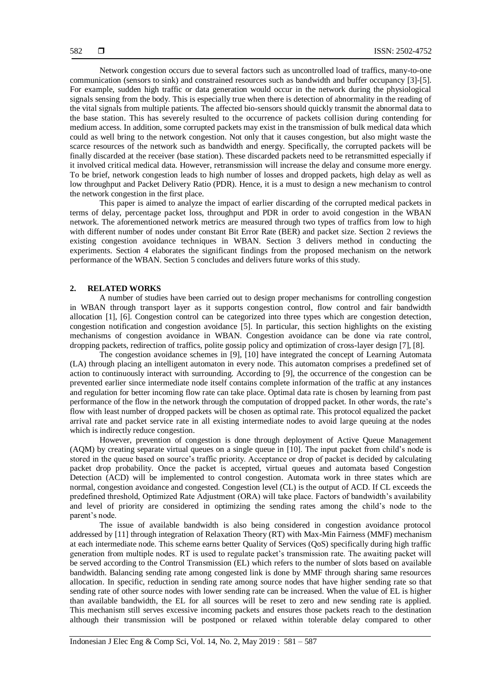Network congestion occurs due to several factors such as uncontrolled load of traffics, many-to-one communication (sensors to sink) and constrained resources such as bandwidth and buffer occupancy [3]-[5]. For example, sudden high traffic or data generation would occur in the network during the physiological signals sensing from the body. This is especially true when there is detection of abnormality in the reading of the vital signals from multiple patients. The affected bio-sensors should quickly transmit the abnormal data to the base station. This has severely resulted to the occurrence of packets collision during contending for medium access. In addition, some corrupted packets may exist in the transmission of bulk medical data which could as well bring to the network congestion. Not only that it causes congestion, but also might waste the scarce resources of the network such as bandwidth and energy. Specifically, the corrupted packets will be finally discarded at the receiver (base station). These discarded packets need to be retransmitted especially if it involved critical medical data. However, retransmission will increase the delay and consume more energy. To be brief, network congestion leads to high number of losses and dropped packets, high delay as well as low throughput and Packet Delivery Ratio (PDR). Hence, it is a must to design a new mechanism to control the network congestion in the first place.

This paper is aimed to analyze the impact of earlier discarding of the corrupted medical packets in terms of delay, percentage packet loss, throughput and PDR in order to avoid congestion in the WBAN network. The aforementioned network metrics are measured through two types of traffics from low to high with different number of nodes under constant Bit Error Rate (BER) and packet size. Section 2 reviews the existing congestion avoidance techniques in WBAN. Section 3 delivers method in conducting the experiments. Section 4 elaborates the significant findings from the proposed mechanism on the network performance of the WBAN. Section 5 concludes and delivers future works of this study.

### **2. RELATED WORKS**

A number of studies have been carried out to design proper mechanisms for controlling congestion in WBAN through transport layer as it supports congestion control, flow control and fair bandwidth allocation [1], [6]. Congestion control can be categorized into three types which are congestion detection, congestion notification and congestion avoidance [5]. In particular, this section highlights on the existing mechanisms of congestion avoidance in WBAN. Congestion avoidance can be done via rate control, dropping packets, redirection of traffics, polite gossip policy and optimization of cross-layer design [7], [8].

The congestion avoidance schemes in [9], [10] have integrated the concept of Learning Automata (LA) through placing an intelligent automaton in every node. This automaton comprises a predefined set of action to continuously interact with surrounding. According to [9], the occurrence of the congestion can be prevented earlier since intermediate node itself contains complete information of the traffic at any instances and regulation for better incoming flow rate can take place. Optimal data rate is chosen by learning from past performance of the flow in the network through the computation of dropped packet. In other words, the rate's flow with least number of dropped packets will be chosen as optimal rate. This protocol equalized the packet arrival rate and packet service rate in all existing intermediate nodes to avoid large queuing at the nodes which is indirectly reduce congestion.

However, prevention of congestion is done through deployment of Active Queue Management (AQM) by creating separate virtual queues on a single queue in [10]. The input packet from child's node is stored in the queue based on source's traffic priority. Acceptance or drop of packet is decided by calculating packet drop probability. Once the packet is accepted, virtual queues and automata based Congestion Detection (ACD) will be implemented to control congestion. Automata work in three states which are normal, congestion avoidance and congested. Congestion level (CL) is the output of ACD. If CL exceeds the predefined threshold, Optimized Rate Adjustment (ORA) will take place. Factors of bandwidth's availability and level of priority are considered in optimizing the sending rates among the child's node to the parent's node.

The issue of available bandwidth is also being considered in congestion avoidance protocol addressed by [11] through integration of Relaxation Theory (RT) with Max-Min Fairness (MMF) mechanism at each intermediate node. This scheme earns better Quality of Services (QoS) specifically during high traffic generation from multiple nodes. RT is used to regulate packet's transmission rate. The awaiting packet will be served according to the Control Transmission (EL) which refers to the number of slots based on available bandwidth. Balancing sending rate among congested link is done by MMF through sharing same resources allocation. In specific, reduction in sending rate among source nodes that have higher sending rate so that sending rate of other source nodes with lower sending rate can be increased. When the value of EL is higher than available bandwidth, the EL for all sources will be reset to zero and new sending rate is applied. This mechanism still serves excessive incoming packets and ensures those packets reach to the destination although their transmission will be postponed or relaxed within tolerable delay compared to other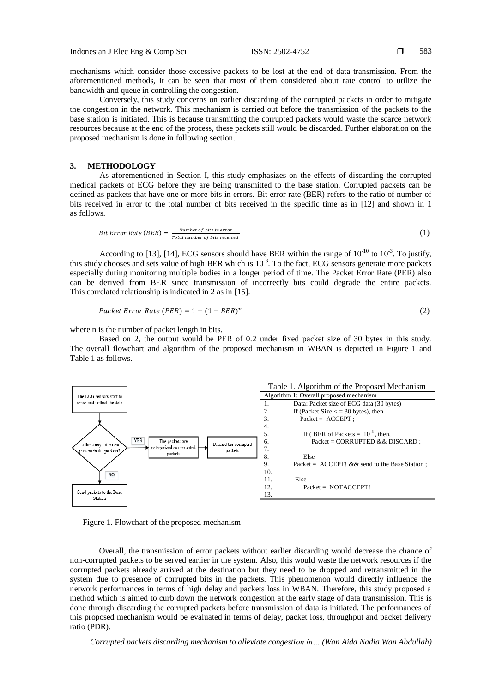mechanisms which consider those excessive packets to be lost at the end of data transmission. From the aforementioned methods, it can be seen that most of them considered about rate control to utilize the bandwidth and queue in controlling the congestion.

Conversely, this study concerns on earlier discarding of the corrupted packets in order to mitigate the congestion in the network. This mechanism is carried out before the transmission of the packets to the base station is initiated. This is because transmitting the corrupted packets would waste the scarce network resources because at the end of the process, these packets still would be discarded. Further elaboration on the proposed mechanism is done in following section.

# **3. METHODOLOGY**

As aforementioned in Section I, this study emphasizes on the effects of discarding the corrupted medical packets of ECG before they are being transmitted to the base station. Corrupted packets can be defined as packets that have one or more bits in errors. Bit error rate (BER) refers to the ratio of number of bits received in error to the total number of bits received in the specific time as in [12] and shown in 1 as follows.

$$
Bit Error Rate (BER) = \frac{Number of bits in error}{Total number of bits received}
$$
\n(1)

According to [13], [14], ECG sensors should have BER within the range of  $10^{-10}$  to  $10^{-3}$ . To justify, this study chooses and sets value of high BER which is 10<sup>-3</sup>. To the fact, ECG sensors generate more packets especially during monitoring multiple bodies in a longer period of time. The Packet Error Rate (PER) also can be derived from BER since transmission of incorrectly bits could degrade the entire packets. This correlated relationship is indicated in 2 as in [15].

$$
Packet Error Rate (PER) = 1 - (1 - BER)^n
$$
\n(2)

where n is the number of packet length in bits.

Based on 2, the output would be PER of 0.2 under fixed packet size of 30 bytes in this study. The overall flowchart and algorithm of the proposed mechanism in WBAN is depicted in Figure 1 and Table 1 as follows.



Figure 1. Flowchart of the proposed mechanism

Overall, the transmission of error packets without earlier discarding would decrease the chance of non-corrupted packets to be served earlier in the system. Also, this would waste the network resources if the corrupted packets already arrived at the destination but they need to be dropped and retransmitted in the system due to presence of corrupted bits in the packets. This phenomenon would directly influence the network performances in terms of high delay and packets loss in WBAN. Therefore, this study proposed a method which is aimed to curb down the network congestion at the early stage of data transmission. This is done through discarding the corrupted packets before transmission of data is initiated. The performances of this proposed mechanism would be evaluated in terms of delay, packet loss, throughput and packet delivery ratio (PDR).

*Corrupted packets discarding mechanism to alleviate congestion in… (Wan Aida Nadia Wan Abdullah)*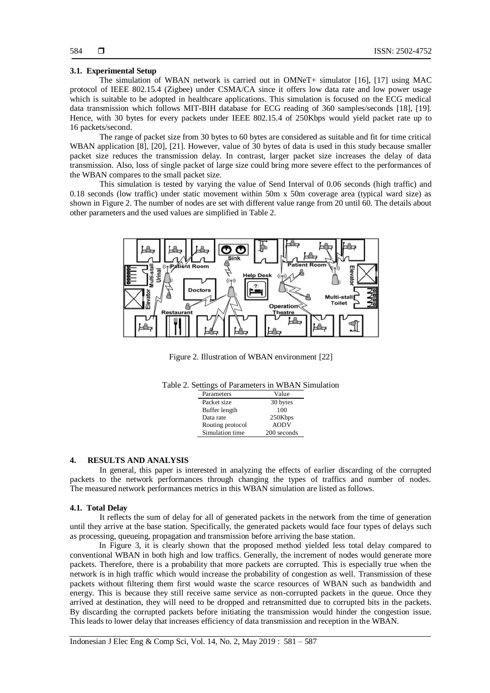# 584

# **3.1. Experimental Setup**

The simulation of WBAN network is carried out in OMNeT+ simulator [16], [17] using MAC protocol of IEEE 802.15.4 (Zigbee) under CSMA/CA since it offers low data rate and low power usage which is suitable to be adopted in healthcare applications. This simulation is focused on the ECG medical data transmission which follows MIT-BIH database for ECG reading of 360 samples/seconds [18], [19]. Hence, with 30 bytes for every packets under IEEE 802.15.4 of 250Kbps would yield packet rate up to 16 packets/second.

The range of packet size from 30 bytes to 60 bytes are considered as suitable and fit for time critical WBAN application [8], [20], [21]. However, value of 30 bytes of data is used in this study because smaller packet size reduces the transmission delay. In contrast, larger packet size increases the delay of data transmission. Also, loss of single packet of large size could bring more severe effect to the performances of the WBAN compares to the small packet size.

This simulation is tested by varying the value of Send Interval of 0.06 seconds (high traffic) and 0.18 seconds (low traffic) under static movement within 50m x 50m coverage area (typical ward size) as shown in Figure 2. The number of nodes are set with different value range from 20 until 60. The details about other parameters and the used values are simplified in Table 2.



Figure 2. Illustration of WBAN environment [22]

| Parameters       | Value       |
|------------------|-------------|
| Packet size      | 30 bytes    |
| Buffer length    | 100         |
| Data rate        | 250Kbps     |
| Routing protocol | <b>AODV</b> |
| Simulation time  | 200 seconds |

#### **4. RESULTS AND ANALYSIS**

In general, this paper is interested in analyzing the effects of earlier discarding of the corrupted packets to the network performances through changing the types of traffics and number of nodes. The measured network performances metrics in this WBAN simulation are listed as follows.

### **4.1. Total Delay**

It reflects the sum of delay for all of generated packets in the network from the time of generation until they arrive at the base station. Specifically, the generated packets would face four types of delays such as processing, queueing, propagation and transmission before arriving the base station.

In Figure 3, it is clearly shown that the proposed method yielded less total delay compared to conventional WBAN in both high and low traffics. Generally, the increment of nodes would generate more packets. Therefore, there is a probability that more packets are corrupted. This is especially true when the network is in high traffic which would increase the probability of congestion as well. Transmission of these packets without filtering them first would waste the scarce resources of WBAN such as bandwidth and energy. This is because they still receive same service as non-corrupted packets in the queue. Once they arrived at destination, they will need to be dropped and retransmitted due to corrupted bits in the packets. By discarding the corrupted packets before initiating the transmission would hinder the congestion issue. This leads to lower delay that increases efficiency of data transmission and reception in the WBAN.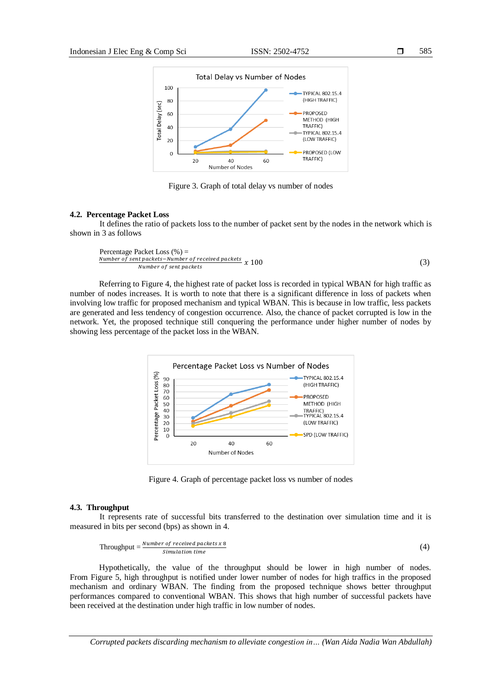

Figure 3. Graph of total delay vs number of nodes

#### **4.2. Percentage Packet Loss**

It defines the ratio of packets loss to the number of packet sent by the nodes in the network which is shown in 3 as follows

Percentage Packet Loss (
$$
\%
$$
) =  
\nNumber of sent packets-Number of received packets  
\nNumber of sent packets (3)

Referring to Figure 4, the highest rate of packet loss is recorded in typical WBAN for high traffic as number of nodes increases. It is worth to note that there is a significant difference in loss of packets when involving low traffic for proposed mechanism and typical WBAN. This is because in low traffic, less packets are generated and less tendency of congestion occurrence. Also, the chance of packet corrupted is low in the network. Yet, the proposed technique still conquering the performance under higher number of nodes by showing less percentage of the packet loss in the WBAN.



Figure 4. Graph of percentage packet loss vs number of nodes

## **4.3. Throughput**

It represents rate of successful bits transferred to the destination over simulation time and it is measured in bits per second (bps) as shown in 4.

$$
Throughout = \frac{Number\ of\ received\ packets\ x\ 8}{Simulation\ time}
$$
\n(4)

Hypothetically, the value of the throughput should be lower in high number of nodes. From Figure 5, high throughput is notified under lower number of nodes for high traffics in the proposed mechanism and ordinary WBAN. The finding from the proposed technique shows better throughput performances compared to conventional WBAN. This shows that high number of successful packets have been received at the destination under high traffic in low number of nodes.

*Corrupted packets discarding mechanism to alleviate congestion in… (Wan Aida Nadia Wan Abdullah)*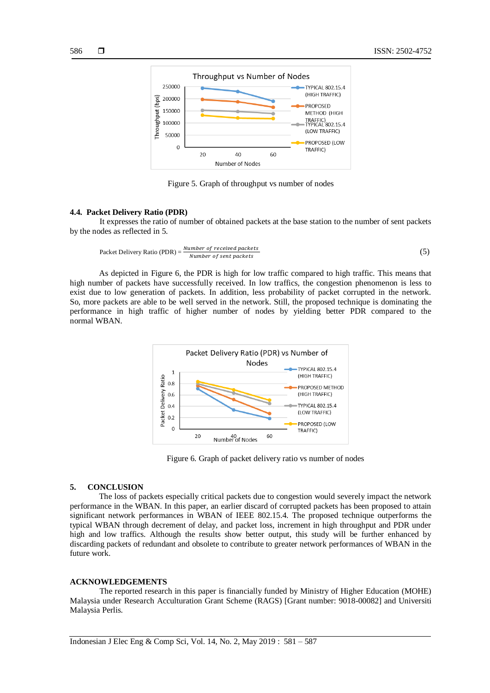

Figure 5. Graph of throughput vs number of nodes

## **4.4. Packet Delivery Ratio (PDR)**

It expresses the ratio of number of obtained packets at the base station to the number of sent packets by the nodes as reflected in 5.

$$
Packet \; Deli \, very \; Ratio \; (PDR) = \frac{Number \; of \; received \; packets}{Number \; of \; sent \; packets} \tag{5}
$$

As depicted in Figure 6, the PDR is high for low traffic compared to high traffic. This means that high number of packets have successfully received. In low traffics, the congestion phenomenon is less to exist due to low generation of packets. In addition, less probability of packet corrupted in the network. So, more packets are able to be well served in the network. Still, the proposed technique is dominating the performance in high traffic of higher number of nodes by yielding better PDR compared to the normal WBAN.



Figure 6. Graph of packet delivery ratio vs number of nodes

#### **5. CONCLUSION**

The loss of packets especially critical packets due to congestion would severely impact the network performance in the WBAN. In this paper, an earlier discard of corrupted packets has been proposed to attain significant network performances in WBAN of IEEE 802.15.4. The proposed technique outperforms the typical WBAN through decrement of delay, and packet loss, increment in high throughput and PDR under high and low traffics. Although the results show better output, this study will be further enhanced by discarding packets of redundant and obsolete to contribute to greater network performances of WBAN in the future work.

### **ACKNOWLEDGEMENTS**

The reported research in this paper is financially funded by Ministry of Higher Education (MOHE) Malaysia under Research Acculturation Grant Scheme (RAGS) [Grant number: 9018-00082] and Universiti Malaysia Perlis.